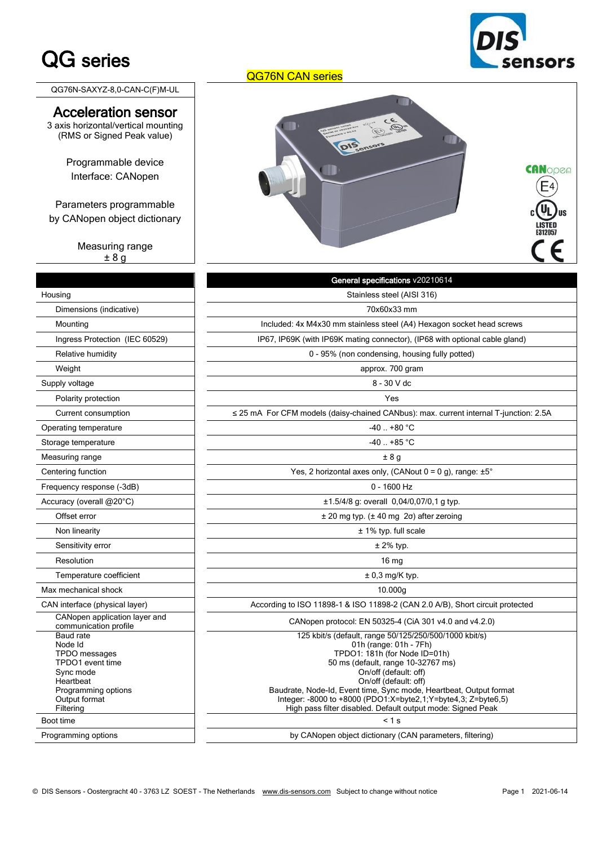## QG series

**Insors** 

QG76N-SAXYZ-8,0-CAN-C(F)M-UL

### Acceleration sensor

3 axis horizontal/vertical mounting (RMS or Signed Peak value)

> Programmable device Interface: CANopen

Parameters programmable by CANopen object dictionary

> Measuring range  $± 8 g$

| Housing                                                |
|--------------------------------------------------------|
| Dimensions (indicative)                                |
| Mounting                                               |
| Ingress Protection (IEC 60529)                         |
| Relative humidity                                      |
| Weight                                                 |
| Supply voltage                                         |
| Polarity protection                                    |
| Current consumption                                    |
| Operating temperature                                  |
| Storage temperature                                    |
| Measuring range                                        |
| Centering function                                     |
| Frequency response (-3dB)                              |
| Accuracy (overall @20°C)                               |
| Offset error                                           |
| Non linearity                                          |
| Sensitivity error                                      |
| Resolution                                             |
| Temperature coefficient                                |
| Max mechanical shock                                   |
| CAN interface (physical layer)                         |
| CANopen application layer and<br>communication profile |
| <b>Baud</b> rate<br>Node Id                            |
| TPDO messages                                          |
| TPDO1 event time                                       |
| Sync mode                                              |
| Heartbeat<br>Programming options                       |
| Output format                                          |
| Filterina                                              |
| Boot time                                              |
| Programming options                                    |

### QG76N CAN series



|                                                                                                                                          | General specifications v20210614                                                                                                                                                                                                                                                                                                                                                                                |
|------------------------------------------------------------------------------------------------------------------------------------------|-----------------------------------------------------------------------------------------------------------------------------------------------------------------------------------------------------------------------------------------------------------------------------------------------------------------------------------------------------------------------------------------------------------------|
| Housing                                                                                                                                  | Stainless steel (AISI 316)                                                                                                                                                                                                                                                                                                                                                                                      |
| Dimensions (indicative)                                                                                                                  | 70x60x33 mm                                                                                                                                                                                                                                                                                                                                                                                                     |
| Mounting                                                                                                                                 | Included: 4x M4x30 mm stainless steel (A4) Hexagon socket head screws                                                                                                                                                                                                                                                                                                                                           |
| Ingress Protection (IEC 60529)                                                                                                           | IP67, IP69K (with IP69K mating connector), (IP68 with optional cable gland)                                                                                                                                                                                                                                                                                                                                     |
| Relative humidity                                                                                                                        | 0 - 95% (non condensing, housing fully potted)                                                                                                                                                                                                                                                                                                                                                                  |
| Weight                                                                                                                                   | approx. 700 gram                                                                                                                                                                                                                                                                                                                                                                                                |
| Supply voltage                                                                                                                           | 8 - 30 V dc                                                                                                                                                                                                                                                                                                                                                                                                     |
| Polarity protection                                                                                                                      | Yes                                                                                                                                                                                                                                                                                                                                                                                                             |
| Current consumption                                                                                                                      | ≤ 25 mA For CFM models (daisy-chained CANbus): max. current internal T-junction: 2.5A                                                                                                                                                                                                                                                                                                                           |
| Operating temperature                                                                                                                    | $-40$ +80 $^{\circ}$ C                                                                                                                                                                                                                                                                                                                                                                                          |
| Storage temperature                                                                                                                      | $-40$ $+85$ °C                                                                                                                                                                                                                                                                                                                                                                                                  |
| Measuring range                                                                                                                          | ±8g                                                                                                                                                                                                                                                                                                                                                                                                             |
| Centering function                                                                                                                       | Yes, 2 horizontal axes only, (CANout $0 = 0$ g), range: $\pm 5^{\circ}$                                                                                                                                                                                                                                                                                                                                         |
| Frequency response (-3dB)                                                                                                                | $0 - 1600$ Hz                                                                                                                                                                                                                                                                                                                                                                                                   |
| Accuracy (overall @20°C)                                                                                                                 | ±1.5/4/8 g: overall 0,04/0,07/0,1 g typ.                                                                                                                                                                                                                                                                                                                                                                        |
| Offset error                                                                                                                             | $\pm$ 20 mg typ. ( $\pm$ 40 mg 2 $\sigma$ ) after zeroing                                                                                                                                                                                                                                                                                                                                                       |
| Non linearity                                                                                                                            | $±$ 1% typ. full scale                                                                                                                                                                                                                                                                                                                                                                                          |
| Sensitivity error                                                                                                                        | $±$ 2% typ.                                                                                                                                                                                                                                                                                                                                                                                                     |
| Resolution                                                                                                                               | 16 <sub>mg</sub>                                                                                                                                                                                                                                                                                                                                                                                                |
| Temperature coefficient                                                                                                                  | $± 0,3$ mg/K typ.                                                                                                                                                                                                                                                                                                                                                                                               |
| Max mechanical shock                                                                                                                     | 10.000g                                                                                                                                                                                                                                                                                                                                                                                                         |
| CAN interface (physical layer)                                                                                                           | According to ISO 11898-1 & ISO 11898-2 (CAN 2.0 A/B), Short circuit protected                                                                                                                                                                                                                                                                                                                                   |
| CANopen application layer and<br>communication profile                                                                                   | CANopen protocol: EN 50325-4 (CiA 301 v4.0 and v4.2.0)                                                                                                                                                                                                                                                                                                                                                          |
| Baud rate<br>Node Id<br>TPDO messages<br>TPDO1 event time<br>Sync mode<br>Heartbeat<br>Programming options<br>Output format<br>Filtering | 125 kbit/s (default, range 50/125/250/500/1000 kbit/s)<br>01h (range: 01h - 7Fh)<br>TPDO1: 181h (for Node ID=01h)<br>50 ms (default, range 10-32767 ms)<br>On/off (default: off)<br>On/off (default: off)<br>Baudrate, Node-Id, Event time, Sync mode, Heartbeat, Output format<br>Integer: -8000 to +8000 (PDO1:X=byte2,1;Y=byte4,3; Z=byte6,5)<br>High pass filter disabled. Default output mode: Signed Peak |
| Boot time                                                                                                                                | $< 1$ s                                                                                                                                                                                                                                                                                                                                                                                                         |
| Programming options                                                                                                                      | by CANopen object dictionary (CAN parameters, filtering)                                                                                                                                                                                                                                                                                                                                                        |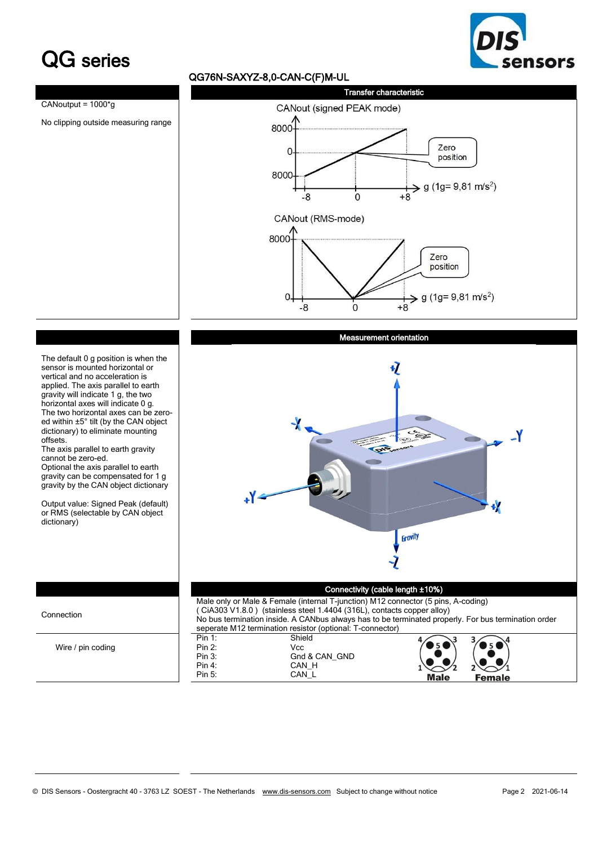## QG series



### QG76N-SAXYZ-8,0-CAN-C(F)M-UL



Wire / pin coding

( CiA303 V1.8.0 ) (stainless steel 1.4404 (316L), contacts copper alloy) No bus termination inside. A CANbus always has to be terminated properly. For bus termination order seperate M12 termination resistor (optional: T-connector) Pin 1: Shield Pin 2: Vcc Pin 3: Gnd & CAN\_GND Pin 4: CAN\_H  $Pin 5$ : CAN\_L **Male Female**  $\overline{a}$